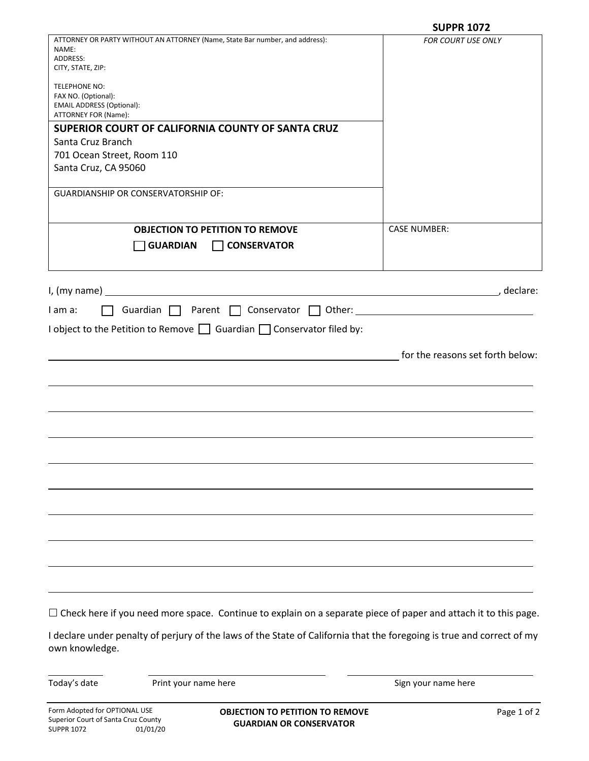|                                                                                                   | <b>SUPPR 1072</b>                |
|---------------------------------------------------------------------------------------------------|----------------------------------|
| ATTORNEY OR PARTY WITHOUT AN ATTORNEY (Name, State Bar number, and address):<br>NAME:<br>ADDRESS: | FOR COURT USE ONLY               |
| CITY, STATE, ZIP:                                                                                 |                                  |
| <b>TELEPHONE NO:</b>                                                                              |                                  |
| FAX NO. (Optional):                                                                               |                                  |
| <b>EMAIL ADDRESS (Optional):</b><br>ATTORNEY FOR (Name):                                          |                                  |
| SUPERIOR COURT OF CALIFORNIA COUNTY OF SANTA CRUZ                                                 |                                  |
| Santa Cruz Branch                                                                                 |                                  |
| 701 Ocean Street, Room 110                                                                        |                                  |
| Santa Cruz, CA 95060                                                                              |                                  |
| <b>GUARDIANSHIP OR CONSERVATORSHIP OF:</b>                                                        |                                  |
| <b>OBJECTION TO PETITION TO REMOVE</b>                                                            |                                  |
|                                                                                                   | <b>CASE NUMBER:</b>              |
| <b>CONSERVATOR</b><br><b>GUARDIAN</b>                                                             |                                  |
|                                                                                                   |                                  |
| I, (my name)                                                                                      | , declare:                       |
| Guardian Parent C Conservator C Other: Canadian C Parent C Conservator C Other:<br>I am a:        |                                  |
| I object to the Petition to Remove $\Box$ Guardian $\Box$ Conservator filed by:                   |                                  |
|                                                                                                   |                                  |
|                                                                                                   | for the reasons set forth below: |
|                                                                                                   |                                  |
|                                                                                                   |                                  |
|                                                                                                   |                                  |
|                                                                                                   |                                  |
|                                                                                                   |                                  |
|                                                                                                   |                                  |
|                                                                                                   |                                  |
|                                                                                                   |                                  |
|                                                                                                   |                                  |
|                                                                                                   |                                  |
|                                                                                                   |                                  |
|                                                                                                   |                                  |
|                                                                                                   |                                  |

 $\Box$  Check here if you need more space. Continue to explain on a separate piece of paper and attach it to this page.

I declare under penalty of perjury of the laws of the State of California that the foregoing is true and correct of my own knowledge.

Today's date **Print your name here Print your name here** Sign your name here